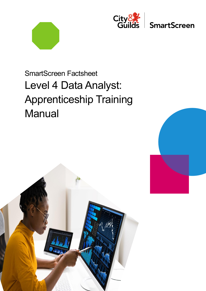



**SmartScreen** 

# SmartScreen Factsheet Level 4 Data Analyst: Apprenticeship Training **Manual**